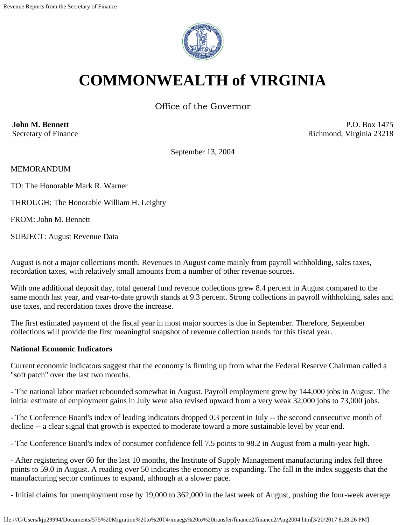

# **COMMONWEALTH of VIRGINIA**

Office of the Governor

**John M. Bennett** Secretary of Finance

P.O. Box 1475 Richmond, Virginia 23218

September 13, 2004

MEMORANDUM

TO: The Honorable Mark R. Warner

THROUGH: The Honorable William H. Leighty

FROM: John M. Bennett

SUBJECT: August Revenue Data

August is not a major collections month. Revenues in August come mainly from payroll withholding, sales taxes, recordation taxes, with relatively small amounts from a number of other revenue sources.

With one additional deposit day, total general fund revenue collections grew 8.4 percent in August compared to the same month last year, and year-to-date growth stands at 9.3 percent. Strong collections in payroll withholding, sales and use taxes, and recordation taxes drove the increase.

The first estimated payment of the fiscal year in most major sources is due in September. Therefore, September collections will provide the first meaningful snapshot of revenue collection trends for this fiscal year.

# **National Economic Indicators**

Current economic indicators suggest that the economy is firming up from what the Federal Reserve Chairman called a "soft patch" over the last two months.

- The national labor market rebounded somewhat in August. Payroll employment grew by 144,000 jobs in August. The initial estimate of employment gains in July were also revised upward from a very weak 32,000 jobs to 73,000 jobs.

- The Conference Board's index of leading indicators dropped 0.3 percent in July -- the second consecutive month of decline -- a clear signal that growth is expected to moderate toward a more sustainable level by year end.

- The Conference Board's index of consumer confidence fell 7.5 points to 98.2 in August from a multi-year high.

- After registering over 60 for the last 10 months, the Institute of Supply Management manufacturing index fell three points to 59.0 in August. A reading over 50 indicates the economy is expanding. The fall in the index suggests that the manufacturing sector continues to expand, although at a slower pace.

- Initial claims for unemployment rose by 19,000 to 362,000 in the last week of August, pushing the four-week average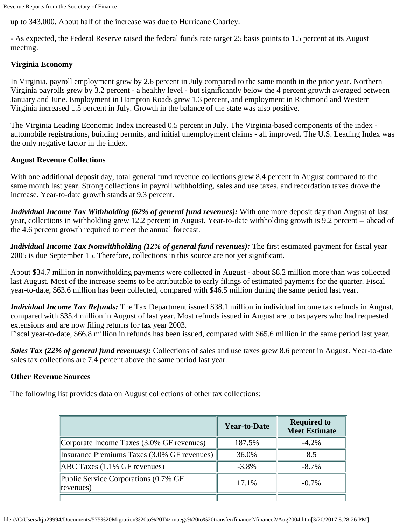up to 343,000. About half of the increase was due to Hurricane Charley.

- As expected, the Federal Reserve raised the federal funds rate target 25 basis points to 1.5 percent at its August meeting.

## **Virginia Economy**

In Virginia, payroll employment grew by 2.6 percent in July compared to the same month in the prior year. Northern Virginia payrolls grew by 3.2 percent - a healthy level - but significantly below the 4 percent growth averaged between January and June. Employment in Hampton Roads grew 1.3 percent, and employment in Richmond and Western Virginia increased 1.5 percent in July. Growth in the balance of the state was also positive.

The Virginia Leading Economic Index increased 0.5 percent in July. The Virginia-based components of the index automobile registrations, building permits, and initial unemployment claims - all improved. The U.S. Leading Index was the only negative factor in the index.

### **August Revenue Collections**

With one additional deposit day, total general fund revenue collections grew 8.4 percent in August compared to the same month last year. Strong collections in payroll withholding, sales and use taxes, and recordation taxes drove the increase. Year-to-date growth stands at 9.3 percent.

*Individual Income Tax Withholding (62% of general fund revenues):* With one more deposit day than August of last year, collections in withholding grew 12.2 percent in August. Year-to-date withholding growth is 9.2 percent -- ahead of the 4.6 percent growth required to meet the annual forecast.

*Individual Income Tax Nonwithholding (12% of general fund revenues):* The first estimated payment for fiscal year 2005 is due September 15. Therefore, collections in this source are not yet significant.

About \$34.7 million in nonwitholding payments were collected in August - about \$8.2 million more than was collected last August. Most of the increase seems to be attributable to early filings of estimated payments for the quarter. Fiscal year-to-date, \$63.6 million has been collected, compared with \$46.5 million during the same period last year.

*Individual Income Tax Refunds:* The Tax Department issued \$38.1 million in individual income tax refunds in August, compared with \$35.4 million in August of last year. Most refunds issued in August are to taxpayers who had requested extensions and are now filing returns for tax year 2003.

Fiscal year-to-date, \$66.8 million in refunds has been issued, compared with \$65.6 million in the same period last year.

*Sales Tax (22% of general fund revenues):* Collections of sales and use taxes grew 8.6 percent in August. Year-to-date sales tax collections are 7.4 percent above the same period last year.

#### **Other Revenue Sources**

The following list provides data on August collections of other tax collections:

|                                                   | <b>Year-to-Date</b> | <b>Required to</b><br><b>Meet Estimate</b> |
|---------------------------------------------------|---------------------|--------------------------------------------|
| Corporate Income Taxes (3.0% GF revenues)         | 187.5%              | $-4.2\%$                                   |
| Insurance Premiums Taxes (3.0% GF revenues)       | 36.0%               | 8.5                                        |
| $ABC$ Taxes (1.1% GF revenues)                    | $-3.8\%$            | $-8.7\%$                                   |
| Public Service Corporations (0.7% GF<br>revenues) | 17.1%               | $-0.7\%$                                   |
|                                                   |                     |                                            |